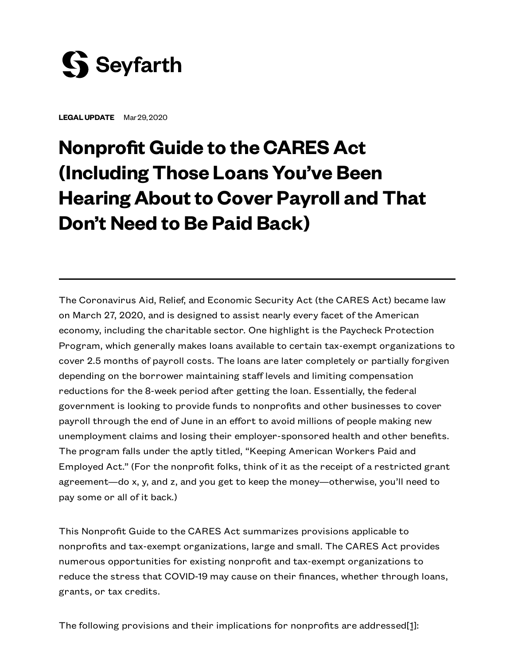

**LEGALUPDATE** Mar 29, 2020

# **Nonprofit Guide to the CARES Act (Including Those Loans You've Been HearingAbout to Cover Payroll and That Don't Need to Be Paid Back)**

The Coronavirus Aid, Relief, and Economic Security Act (the CARES Act) became law on March 27, 2020, and is designed to assist nearly every facet of the American economy, including the charitable sector. One highlight is the Paycheck Protection Program, which generally makes loans available to certain tax-exempt organizations to cover 2.5 months of payroll costs. The loans are later completely or partially forgiven depending on the borrower maintaining staff levels and limiting compensation reductions for the 8-week period after getting the loan. Essentially, the federal government is looking to provide funds to nonprofits and other businesses to cover payroll through the end of June in an effort to avoid millions of people making new unemployment claims and losing their employer-sponsored health and other benefits. The program falls under the aptly titled, "Keeping American Workers Paid and Employed Act." (For the nonprofit folks, think of it as the receipt of a restricted grant agreement—do x, y, and z, and you get to keep the money—otherwise, you'll need to pay some or all of it back.)

This Nonprofit Guide to the CARES Act summarizes provisions applicable to nonprofits and tax-exempt organizations, large and small. The CARES Act provides numerous opportunities for existing nonprofit and tax-exempt organizations to reduce the stress that COVID-19 may cause on their finances, whether through loans, grants, or tax credits.

<span id="page-0-0"></span>The following provisions and their implications for nonprofits are addresse[d\[1\]](#page-12-0):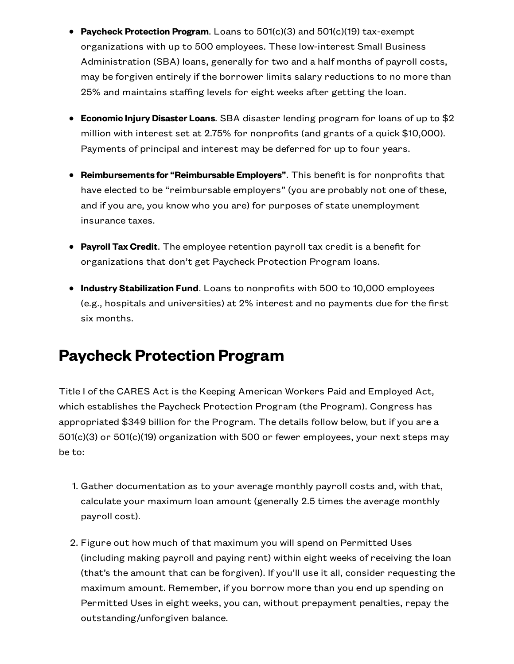- **Paycheck Protection Program**. Loans to 501(c)(3) and 501(c)(19) tax-exempt organizations with up to 500 employees. These low-interest Small Business Administration (SBA) loans, generally for two and a half months of payroll costs, may be forgiven entirely if the borrower limits salary reductions to no more than 25% and maintains staffing levels for eight weeks after getting the loan.
- **Economic Injury Disaster Loans**. SBA disaster lending program for loans of up to \$2 million with interest set at 2.75% for nonprofits (and grants of a quick \$10,000). Payments of principal and interest may be deferred for up to four years.
- **Reimbursements for "Reimbursable Employers"**. This benefit is for nonprofits that have elected to be "reimbursable employers" (you are probably not one of these, and if you are, you know who you are) for purposes of state unemployment insurance taxes.
- **Payroll Tax Credit**. The employee retention payroll tax credit is a benefit for organizations that don't get Paycheck Protection Program loans.
- **Industry Stabilization Fund**. Loans to nonprofits with 500 to 10,000 employees (e.g., hospitals and universities) at 2% interest and no payments due for the first six months.

# **Paycheck Protection Program**

Title I of the CARES Act is the Keeping American Workers Paid and Employed Act, which establishes the Paycheck Protection Program (the Program). Congress has appropriated \$349 billion for the Program. The details follow below, but if you are a 501(c)(3) or 501(c)(19) organization with 500 or fewer employees, your next steps may be to:

- 1. Gather documentation as to your average monthly payroll costs and, with that, calculate your maximum loan amount (generally 2.5 times the average monthly payroll cost).
- 2. Figure out how much of that maximum you will spend on Permitted Uses (including making payroll and paying rent) within eight weeks of receiving the loan (that's the amount that can be forgiven). If you'll use it all, consider requesting the maximum amount. Remember, if you borrow more than you end up spending on Permitted Uses in eight weeks, you can, without prepayment penalties, repay the outstanding/unforgiven balance.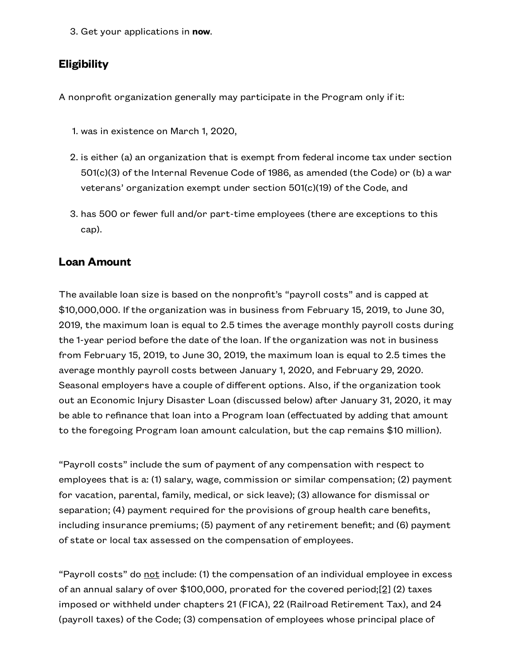3. Get your applications in **now**.

#### **Eligibility**

A nonprofit organization generally may participate in the Program only if it:

- 1. was in existence on March 1, 2020,
- 2. is either (a) an organization that is exempt from federal income tax under section 501(c)(3) of the Internal Revenue Code of 1986, as amended (the Code) or (b) a war veterans' organization exempt under section 501(c)(19) of the Code, and
- 3. has 500 or fewer full and/or part-time employees (there are exceptions to this cap).

#### **Loan Amount**

The available loan size is based on the nonprofit's "payroll costs" and is capped at \$10,000,000. If the organization was in business from February 15, 2019, to June 30, 2019, the maximum loan is equal to 2.5 times the average monthly payroll costs during the 1-year period before the date of the loan. If the organization was not in business from February 15, 2019, to June 30, 2019, the maximum loan is equal to 2.5 times the average monthly payroll costs between January 1, 2020, and February 29, 2020. Seasonal employers have a couple of different options. Also, if the organization took out an Economic Injury Disaster Loan (discussed below) after January 31, 2020, it may be able to refinance that loan into a Program loan (effectuated by adding that amount to the foregoing Program loan amount calculation, but the cap remains \$10 million).

"Payroll costs" include the sum of payment of any compensation with respect to employees that is a: (1) salary, wage, commission or similar compensation; (2) payment for vacation, parental, family, medical, or sick leave); (3) allowance for dismissal or separation; (4) payment required for the provisions of group health care benefits, including insurance premiums; (5) payment of any retirement benefit; and (6) payment of state or local tax assessed on the compensation of employees.

<span id="page-2-0"></span>"Payroll costs" do not include: (1) the compensation of an individual employee in excess of an annual salary of over \$100,000, prorated for the covered period[;\[2\]](#page-12-1) (2) taxes imposed or withheld under chapters 21 (FICA), 22 (Railroad Retirement Tax), and 24 (payroll taxes) of the Code; (3) compensation of employees whose principal place of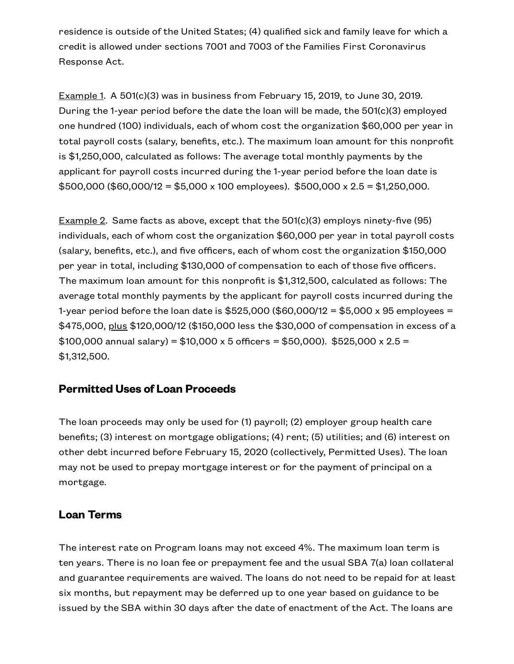residence is outside of the United States; (4) qualified sick and family leave for which a credit is allowed under sections 7001 and 7003 of the Families First Coronavirus Response Act.

Example 1. A 501 $(c)(3)$  was in business from February 15, 2019, to June 30, 2019. During the 1-year period before the date the loan will be made, the 501(c)(3) employed one hundred (100) individuals, each of whom cost the organization \$60,000 per year in total payroll costs (salary, benefits, etc.). The maximum loan amount for this nonprofit is \$1,250,000, calculated as follows: The average total monthly payments by the applicant for payroll costs incurred during the 1-year period before the loan date is  $$500,000$  (\$60,000/12 = \$5,000 x 100 employees). \$500,000 x 2.5 = \$1,250,000.

Example 2. Same facts as above, except that the 501(c)(3) employs ninety-five (95) individuals, each of whom cost the organization \$60,000 per year in total payroll costs (salary, benefits, etc.), and five officers, each of whom cost the organization \$150,000 per year in total, including \$130,000 of compensation to each of those five officers. The maximum loan amount for this nonprofit is \$1,312,500, calculated as follows: The average total monthly payments by the applicant for payroll costs incurred during the 1-year period before the loan date is \$525,000 (\$60,000/12 = \$5,000 x 95 employees = \$475,000, plus \$120,000/12 (\$150,000 less the \$30,000 of compensation in excess of a \$100,000 annual salary) = \$10,000 x 5 officers = \$50,000). \$525,000 x 2.5 = \$1,312,500.

#### **Permitted Uses of Loan Proceeds**

The loan proceeds may only be used for (1) payroll; (2) employer group health care benefits; (3) interest on mortgage obligations; (4) rent; (5) utilities; and (6) interest on other debt incurred before February 15, 2020 (collectively, Permitted Uses). The loan may not be used to prepay mortgage interest or for the payment of principal on a mortgage.

#### **Loan Terms**

The interest rate on Program loans may not exceed 4%. The maximum loan term is ten years. There is no loan fee or prepayment fee and the usual SBA 7(a) loan collateral and guarantee requirements are waived. The loans do not need to be repaid for at least six months, but repayment may be deferred up to one year based on guidance to be issued by the SBA within 30 days after the date of enactment of the Act. The loans are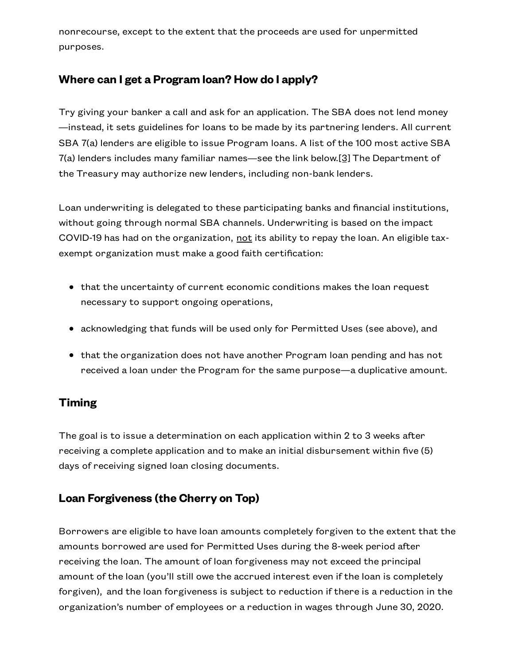nonrecourse, except to the extent that the proceeds are used for unpermitted purposes.

#### **Where can I get a Program loan? How do I apply?**

<span id="page-4-0"></span>Try giving your banker a call and ask for an application. The SBA does not lend money —instead, it sets guidelines for loans to be made by its partnering lenders. All current SBA 7(a) lenders are eligible to issue Program loans. A list of the 100 most active SBA 7(a) lenders includes many familiar names—see the link below[.\[3\]](#page-12-2) The Department of the Treasury may authorize new lenders, including non-bank lenders.

Loan underwriting is delegated to these participating banks and financial institutions, without going through normal SBA channels. Underwriting is based on the impact COVID-19 has had on the organization, not its ability to repay the loan. An eligible taxexempt organization must make a good faith certification:

- that the uncertainty of current economic conditions makes the loan request necessary to support ongoing operations,
- acknowledging that funds will be used only for Permitted Uses (see above), and
- that the organization does not have another Program loan pending and has not received a loan under the Program for the same purpose—a duplicative amount.

#### **Timing**

The goal is to issue a determination on each application within 2 to 3 weeks after receiving a complete application and to make an initial disbursement within five (5) days of receiving signed loan closing documents.

#### **Loan Forgiveness (the Cherry on Top)**

Borrowers are eligible to have loan amounts completely forgiven to the extent that the amounts borrowed are used for Permitted Uses during the 8-week period after receiving the loan. The amount of loan forgiveness may not exceed the principal amount of the loan (you'll still owe the accrued interest even if the loan is completely forgiven), and the loan forgiveness is subject to reduction if there is a reduction in the organization's number of employees or a reduction in wages through June 30, 2020.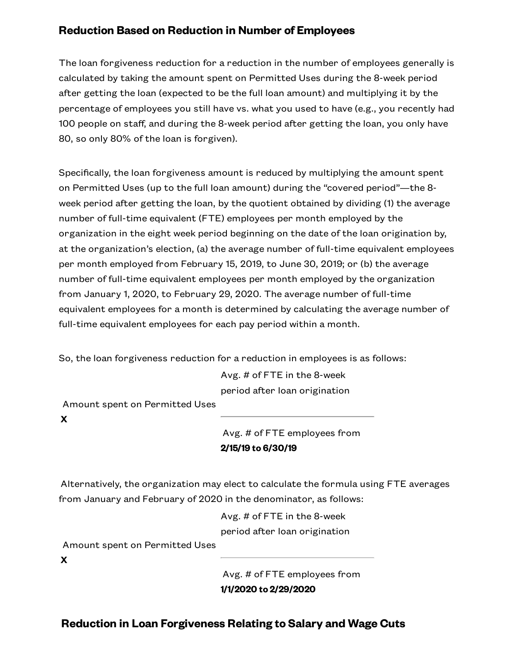#### **Reduction Based on Reduction in Number of Employees**

The loan forgiveness reduction for a reduction in the number of employees generally is calculated by taking the amount spent on Permitted Uses during the 8-week period after getting the loan (expected to be the full loan amount) and multiplying it by the percentage of employees you still have vs. what you used to have (e.g., you recently had 100 people on staff, and during the 8-week period after getting the loan, you only have 80, so only 80% of the loan is forgiven).

Specifically, the loan forgiveness amount is reduced by multiplying the amount spent on Permitted Uses (up to the full loan amount) during the "covered period"—the 8 week period after getting the loan, by the quotient obtained by dividing (1) the average number of full-time equivalent (FTE) employees per month employed by the organization in the eight week period beginning on the date of the loan origination by, at the organization's election, (a) the average number of full-time equivalent employees per month employed from February 15, 2019, to June 30, 2019; or (b) the average number of full-time equivalent employees per month employed by the organization from January 1, 2020, to February 29, 2020. The average number of full-time equivalent employees for a month is determined by calculating the average number of full-time equivalent employees for each pay period within a month.

So, the loan forgiveness reduction for a reduction in employees is as follows:

Avg. # of FTE in the 8-week period after loan origination

Amount spent on Permitted Uses

**X**

Avg. # of FTE employees from **2/15/19 to 6/30/19**

Alternatively, the organization may elect to calculate the formula using FTE averages from January and February of 2020 in the denominator, as follows:

> Avg. # of FTE in the 8-week period after loan origination

Amount spent on Permitted Uses

**X**

Avg. # of FTE employees from **1/1/2020 to 2/29/2020**

**Reduction in Loan Forgiveness Relating to Salary and Wage Cuts**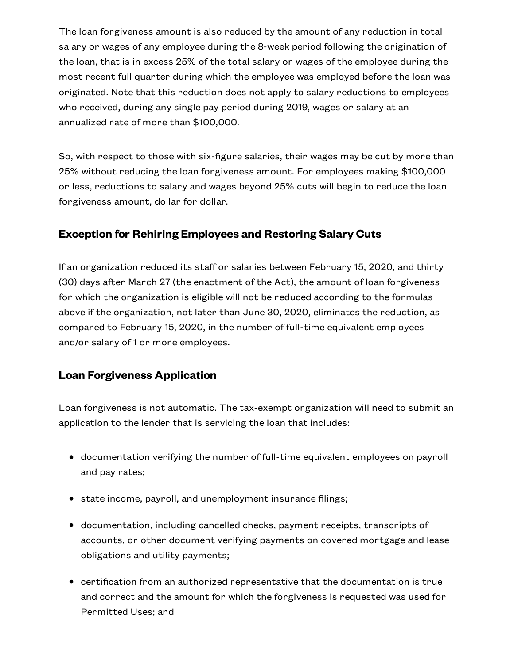The loan forgiveness amount is also reduced by the amount of any reduction in total salary or wages of any employee during the 8-week period following the origination of the loan, that is in excess 25% of the total salary or wages of the employee during the most recent full quarter during which the employee was employed before the loan was originated. Note that this reduction does not apply to salary reductions to employees who received, during any single pay period during 2019, wages or salary at an annualized rate of more than \$100,000.

So, with respect to those with six-figure salaries, their wages may be cut by more than 25% without reducing the loan forgiveness amount. For employees making \$100,000 or less, reductions to salary and wages beyond 25% cuts will begin to reduce the loan forgiveness amount, dollar for dollar.

#### **Exception for Rehiring Employees and Restoring Salary Cuts**

If an organization reduced its staff or salaries between February 15, 2020, and thirty (30) days after March 27 (the enactment of the Act), the amount of loan forgiveness for which the organization is eligible will not be reduced according to the formulas above if the organization, not later than June 30, 2020, eliminates the reduction, as compared to February 15, 2020, in the number of full-time equivalent employees and/or salary of 1 or more employees.

#### **Loan Forgiveness Application**

Loan forgiveness is not automatic. The tax-exempt organization will need to submit an application to the lender that is servicing the loan that includes:

- documentation verifying the number of full-time equivalent employees on payroll and pay rates;
- state income, payroll, and unemployment insurance filings;
- documentation, including cancelled checks, payment receipts, transcripts of accounts, or other document verifying payments on covered mortgage and lease obligations and utility payments;
- certification from an authorized representative that the documentation is true and correct and the amount for which the forgiveness is requested was used for Permitted Uses; and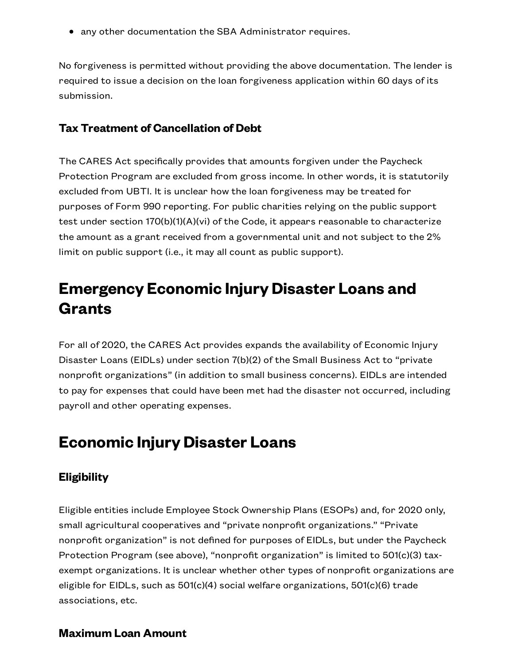any other documentation the SBA Administrator requires.

No forgiveness is permitted without providing the above documentation. The lender is required to issue a decision on the loan forgiveness application within 60 days of its submission.

#### **Tax Treatment of Cancellation of Debt**

The CARES Act specifically provides that amounts forgiven under the Paycheck Protection Program are excluded from gross income. In other words, it is statutorily excluded from UBTI. It is unclear how the loan forgiveness may be treated for purposes of Form 990 reporting. For public charities relying on the public support test under section 170(b)(1)(A)(vi) of the Code, it appears reasonable to characterize the amount as a grant received from a governmental unit and not subject to the 2% limit on public support (i.e., it may all count as public support).

# **Emergency Economic Injury Disaster Loans and Grants**

For all of 2020, the CARES Act provides expands the availability of Economic Injury Disaster Loans (EIDLs) under section 7(b)(2) of the Small Business Act to "private nonprofit organizations" (in addition to small business concerns). EIDLs are intended to pay for expenses that could have been met had the disaster not occurred, including payroll and other operating expenses.

### **Economic Injury Disaster Loans**

#### **Eligibility**

Eligible entities include Employee Stock Ownership Plans (ESOPs) and, for 2020 only, small agricultural cooperatives and "private nonprofit organizations." "Private nonprofit organization" is not defined for purposes of EIDLs, but under the Paycheck Protection Program (see above), "nonprofit organization" is limited to 501(c)(3) taxexempt organizations. It is unclear whether other types of nonprofit organizations are eligible for EIDLs, such as 501(c)(4) social welfare organizations, 501(c)(6) trade associations, etc.

#### **Maximum Loan Amount**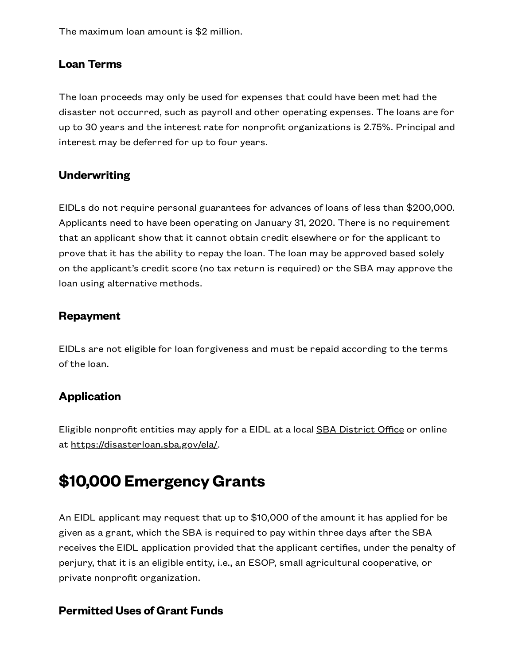The maximum loan amount is \$2 million.

#### **Loan Terms**

The loan proceeds may only be used for expenses that could have been met had the disaster not occurred, such as payroll and other operating expenses. The loans are for up to 30 years and the interest rate for nonprofit organizations is 2.75%. Principal and interest may be deferred for up to four years.

#### **Underwriting**

EIDLs do not require personal guarantees for advances of loans of less than \$200,000. Applicants need to have been operating on January 31, 2020. There is no requirement that an applicant show that it cannot obtain credit elsewhere or for the applicant to prove that it has the ability to repay the loan. The loan may be approved based solely on the applicant's credit score (no tax return is required) or the SBA may approve the loan using alternative methods.

#### **Repayment**

EIDLs are not eligible for loan forgiveness and must be repaid according to the terms of the loan.

#### **Application**

Eligible nonprofit entities may apply for a EIDL at a local **SBA [District](https://www.sba.gov/local-assistance/find/?type=SBA%20District%20Office&pageNumber=1) Office** or online at <https://disasterloan.sba.gov/ela/>.

# **\$10,000 EmergencyGrants**

An EIDL applicant may request that up to \$10,000 of the amount it has applied for be given as a grant, which the SBA is required to pay within three days after the SBA receives the EIDL application provided that the applicant certifies, under the penalty of perjury, that it is an eligible entity, i.e., an ESOP, small agricultural cooperative, or private nonprofit organization.

#### **Permitted Uses of Grant Funds**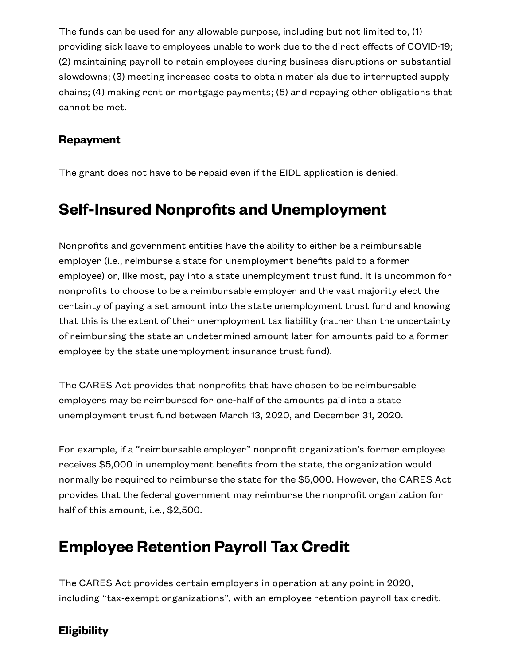The funds can be used for any allowable purpose, including but not limited to, (1) providing sick leave to employees unable to work due to the direct effects of COVID-19; (2) maintaining payroll to retain employees during business disruptions or substantial slowdowns; (3) meeting increased costs to obtain materials due to interrupted supply chains; (4) making rent or mortgage payments; (5) and repaying other obligations that cannot be met.

#### **Repayment**

The grant does not have to be repaid even if the EIDL application is denied.

### **Self-Insured Nonprofits and Unemployment**

Nonprofits and government entities have the ability to either be a reimbursable employer (i.e., reimburse a state for unemployment benefits paid to a former employee) or, like most, pay into a state unemployment trust fund. It is uncommon for nonprofits to choose to be a reimbursable employer and the vast majority elect the certainty of paying a set amount into the state unemployment trust fund and knowing that this is the extent of their unemployment tax liability (rather than the uncertainty of reimbursing the state an undetermined amount later for amounts paid to a former employee by the state unemployment insurance trust fund).

The CARES Act provides that nonprofits that have chosen to be reimbursable employers may be reimbursed for one-half of the amounts paid into a state unemployment trust fund between March 13, 2020, and December 31, 2020.

For example, if a "reimbursable employer" nonprofit organization's former employee receives \$5,000 in unemployment benefits from the state, the organization would normally be required to reimburse the state for the \$5,000. However, the CARES Act provides that the federal government may reimburse the nonprofit organization for half of this amount, i.e., \$2,500.

### **Employee Retention Payroll Tax Credit**

The CARES Act provides certain employers in operation at any point in 2020, including "tax-exempt organizations", with an employee retention payroll tax credit.

#### **Eligibility**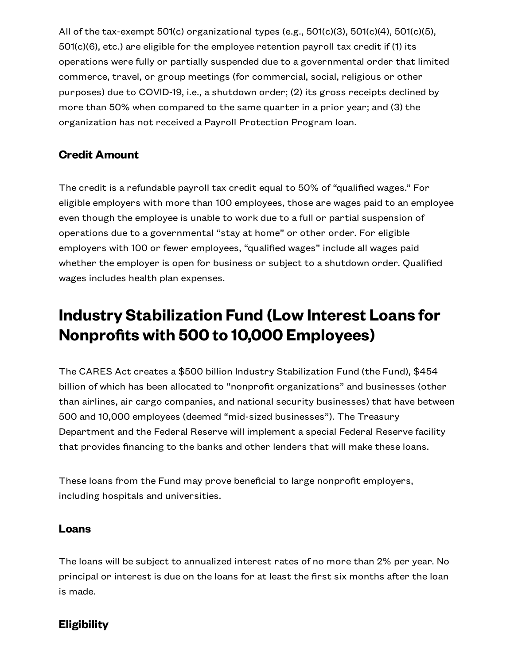All of the tax-exempt 501(c) organizational types (e.g., 501(c)(3), 501(c)(4), 501(c)(5),  $501(c)(6)$ , etc.) are eligible for the employee retention payroll tax credit if (1) its operations were fully or partially suspended due to a governmental order that limited commerce, travel, or group meetings (for commercial, social, religious or other purposes) due to COVID-19, i.e., a shutdown order; (2) its gross receipts declined by more than 50% when compared to the same quarter in a prior year; and (3) the organization has not received a Payroll Protection Program loan.

#### **Credit Amount**

The credit is a refundable payroll tax credit equal to 50% of "qualified wages." For eligible employers with more than 100 employees, those are wages paid to an employee even though the employee is unable to work due to a full or partial suspension of operations due to a governmental "stay at home" or other order. For eligible employers with 100 or fewer employees, "qualified wages" include all wages paid whether the employer is open for business or subject to a shutdown order. Qualified wages includes health plan expenses.

# **Industry Stabilization Fund (Low Interest Loans for Nonprofits with 500 to 10,000 Employees)**

The CARES Act creates a \$500 billion Industry Stabilization Fund (the Fund), \$454 billion of which has been allocated to "nonprofit organizations" and businesses (other than airlines, air cargo companies, and national security businesses) that have between 500 and 10,000 employees (deemed "mid-sized businesses"). The Treasury Department and the Federal Reserve will implement a special Federal Reserve facility that provides financing to the banks and other lenders that will make these loans.

These loans from the Fund may prove beneficial to large nonprofit employers, including hospitals and universities.

#### **Loans**

The loans will be subject to annualized interest rates of no more than 2% per year. No principal or interest is due on the loans for at least the first six months after the loan is made.

#### **Eligibility**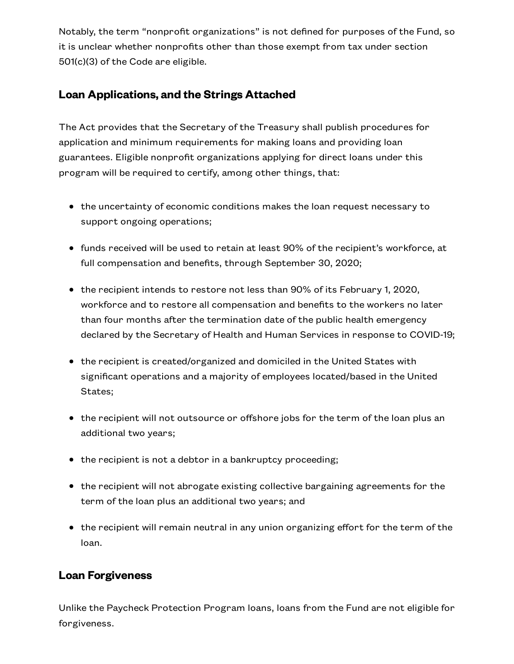Notably, the term "nonprofit organizations" is not defined for purposes of the Fund, so it is unclear whether nonprofits other than those exempt from tax under section 501(c)(3) of the Code are eligible.

#### **Loan Applications, and the Strings Attached**

The Act provides that the Secretary of the Treasury shall publish procedures for application and minimum requirements for making loans and providing loan guarantees. Eligible nonprofit organizations applying for direct loans under this program will be required to certify, among other things, that:

- the uncertainty of economic conditions makes the loan request necessary to support ongoing operations;
- funds received will be used to retain at least 90% of the recipient's workforce, at full compensation and benefits, through September 30, 2020;
- the recipient intends to restore not less than 90% of its February 1, 2020, workforce and to restore all compensation and benefits to the workers no later than four months after the termination date of the public health emergency declared by the Secretary of Health and Human Services in response to COVID-19;
- the recipient is created/organized and domiciled in the United States with significant operations and a majority of employees located/based in the United States;
- the recipient will not outsource or offshore jobs for the term of the loan plus an additional two years;
- the recipient is not a debtor in a bankruptcy proceeding;
- the recipient will not abrogate existing collective bargaining agreements for the term of the loan plus an additional two years; and
- the recipient will remain neutral in any union organizing effort for the term of the loan.

#### **Loan Forgiveness**

Unlike the Paycheck Protection Program loans, loans from the Fund are not eligible for forgiveness.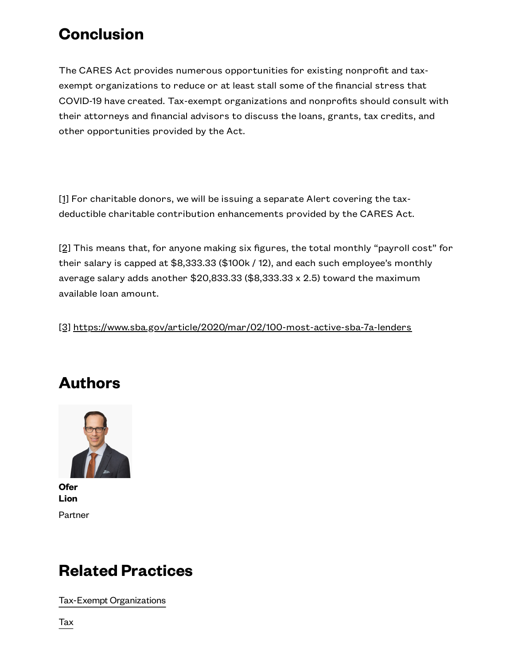## **Conclusion**

The CARES Act provides numerous opportunities for existing nonprofit and taxexempt organizations to reduce or at least stall some of the financial stress that COVID-19 have created. Tax-exempt organizations and nonprofits should consult with their attorneys and financial advisors to discuss the loans, grants, tax credits, and other opportunities provided by the Act.

<span id="page-12-0"></span>[\[1\]](#page-0-0) For charitable donors, we will be issuing a separate Alert covering the taxdeductible charitable contribution enhancements provided by the CARES Act.

<span id="page-12-1"></span>[\[2\]](#page-2-0) This means that, for anyone making six figures, the total monthly "payroll cost" for their salary is capped at \$8,333.33 (\$100k / 12), and each such employee's monthly average salary adds another \$20,833.33 (\$8,333.33 x 2.5) toward the maximum available loan amount.

<span id="page-12-2"></span>[\[3\]](#page-4-0) <https://www.sba.gov/article/2020/mar/02/100-most-active-sba-7a-lenders>

# **Authors**



**[Ofer](https://www.seyfarth.com/people/ofer-lion.html) Lion** Partner

### **Related Practices**

Tax-Exempt [Organizations](https://www.seyfarth.com/services/practices/transactions/tax/tax-exempt-organizations.html)